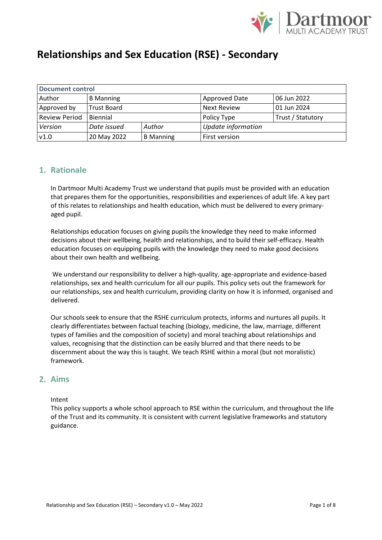

| <b>Document control</b> |                    |                  |                    |                   |  |  |  |  |
|-------------------------|--------------------|------------------|--------------------|-------------------|--|--|--|--|
| Author                  | <b>B</b> Manning   |                  | Approved Date      | 06 Jun 2022       |  |  |  |  |
| Approved by             | <b>Trust Board</b> |                  | <b>Next Review</b> | 01 Jun 2024       |  |  |  |  |
| <b>Review Period</b>    | Biennial           |                  | Policy Type        | Trust / Statutory |  |  |  |  |
| Version                 | Date issued        | Author           | Update information |                   |  |  |  |  |
| v1.0                    | 20 May 2022        | <b>B</b> Manning | First version      |                   |  |  |  |  |

### **1. Rationale**

In Dartmoor Multi Academy Trust we understand that pupils must be provided with an education that prepares them for the opportunities, responsibilities and experiences of adult life. A key part of this relates to relationships and health education, which must be delivered to every primaryaged pupil.

Relationships education focuses on giving pupils the knowledge they need to make informed decisions about their wellbeing, health and relationships, and to build their self-efficacy. Health education focuses on equipping pupils with the knowledge they need to make good decisions about their own health and wellbeing.

We understand our responsibility to deliver a high-quality, age-appropriate and evidence-based relationships, sex and health curriculum for all our pupils. This policy sets out the framework for our relationships, sex and health curriculum, providing clarity on how it is informed, organised and delivered.

Our schools seek to ensure that the RSHE curriculum protects, informs and nurtures all pupils. It clearly differentiates between factual teaching (biology, medicine, the law, marriage, different types of families and the composition of society) and moral teaching about relationships and values, recognising that the distinction can be easily blurred and that there needs to be discernment about the way this is taught. We teach RSHE within a moral (but not moralistic) framework.

### **2. Aims**

Intent

This policy supports a whole school approach to RSE within the curriculum, and throughout the life of the Trust and its community. It is consistent with current legislative frameworks and statutory guidance.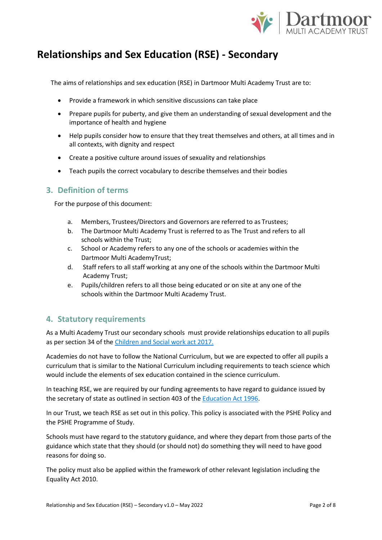

The aims of relationships and sex education (RSE) in Dartmoor Multi Academy Trust are to:

- Provide a framework in which sensitive discussions can take place
- Prepare pupils for puberty, and give them an understanding of sexual development and the importance of health and hygiene
- Help pupils consider how to ensure that they treat themselves and others, at all times and in all contexts, with dignity and respect
- Create a positive culture around issues of sexuality and relationships
- Teach pupils the correct vocabulary to describe themselves and their bodies

#### **3. Definition of terms**

For the purpose of this document:

- a. Members, Trustees/Directors and Governors are referred to as Trustees;
- b. The Dartmoor Multi Academy Trust is referred to as The Trust and refers to all schools within the Trust;
- c. School or Academy refers to any one of the schools or academies within the Dartmoor Multi AcademyTrust;
- d. Staff refers to all staff working at any one of the schools within the Dartmoor Multi Academy Trust;
- e. Pupils/children refers to all those being educated or on site at any one of the schools within the Dartmoor Multi Academy Trust.

### **4. Statutory requirements**

As a Multi Academy Trust our secondary schools must provide relationships education to all pupils as per section 34 of the [Children and Social work act 2017.](http://www.legislation.gov.uk/ukpga/2017/16/section/34/enacted)

Academies do not have to follow the National Curriculum, but we are expected to offer all pupils a curriculum that is similar to the National Curriculum including requirements to teach science which would include the elements of sex education contained in the science curriculum.

In teaching RSE, we are required by our funding agreements to have regard to guidance issued by the secretary of state as outlined in section 403 of th[e Education Act 1996.](http://www.legislation.gov.uk/ukpga/1996/56/contents)

In our Trust, we teach RSE as set out in this policy. This policy is associated with the PSHE Policy and the PSHE Programme of Study.

Schools must have regard to the statutory guidance, and where they depart from those parts of the guidance which state that they should (or should not) do something they will need to have good reasons for doing so.

The policy must also be applied within the framework of other relevant legislation including the Equality Act 2010.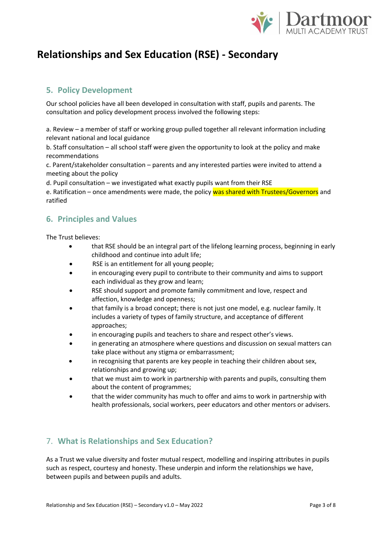

## **5. Policy Development**

Our school policies have all been developed in consultation with staff, pupils and parents. The consultation and policy development process involved the following steps:

a. Review – a member of staff or working group pulled together all relevant information including relevant national and local guidance

b. Staff consultation – all school staff were given the opportunity to look at the policy and make recommendations

c. Parent/stakeholder consultation – parents and any interested parties were invited to attend a meeting about the policy

d. Pupil consultation – we investigated what exactly pupils want from their RSE

e. Ratification – once amendments were made, the policy was shared with Trustees/Governors and ratified

## **6. Principles and Values**

The Trust believes:

- that RSE should be an integral part of the lifelong learning process, beginning in early childhood and continue into adult life;
- RSE is an entitlement for all young people;
- in encouraging every pupil to contribute to their community and aims to support each individual as they grow and learn;
- RSE should support and promote family commitment and love, respect and affection, knowledge and openness;
- that family is a broad concept; there is not just one model, e.g. nuclear family. It includes a variety of types of family structure, and acceptance of different approaches;
- in encouraging pupils and teachers to share and respect other's views.
- in generating an atmosphere where questions and discussion on sexual matters can take place without any stigma or embarrassment;
- in recognising that parents are key people in teaching their children about sex, relationships and growing up;
- that we must aim to work in partnership with parents and pupils, consulting them about the content of programmes;
- that the wider community has much to offer and aims to work in partnership with health professionals, social workers, peer educators and other mentors or advisers.

## 7. **What is Relationships and Sex Education?**

As a Trust we value diversity and foster mutual respect, modelling and inspiring attributes in pupils such as respect, courtesy and honesty. These underpin and inform the relationships we have, between pupils and between pupils and adults.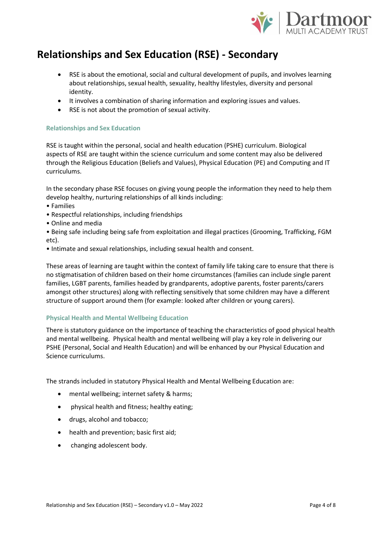

- RSE is about the emotional, social and cultural development of pupils, and involves learning about relationships, sexual health, sexuality, healthy lifestyles, diversity and personal identity.
- It involves a combination of sharing information and exploring issues and values.
- RSE is not about the promotion of sexual activity.

#### **Relationships and Sex Education**

RSE is taught within the personal, social and health education (PSHE) curriculum. Biological aspects of RSE are taught within the science curriculum and some content may also be delivered through the Religious Education (Beliefs and Values), Physical Education (PE) and Computing and IT curriculums.

In the secondary phase RSE focuses on giving young people the information they need to help them develop healthy, nurturing relationships of all kinds including:

- Families
- Respectful relationships, including friendships
- Online and media
- Being safe including being safe from exploitation and illegal practices (Grooming, Trafficking, FGM etc).
- Intimate and sexual relationships, including sexual health and consent.

These areas of learning are taught within the context of family life taking care to ensure that there is no stigmatisation of children based on their home circumstances (families can include single parent families, LGBT parents, families headed by grandparents, adoptive parents, foster parents/carers amongst other structures) along with reflecting sensitively that some children may have a different structure of support around them (for example: looked after children or young carers).

#### **Physical Health and Mental Wellbeing Education**

There is statutory guidance on the importance of teaching the characteristics of good physical health and mental wellbeing. Physical health and mental wellbeing will play a key role in delivering our PSHE (Personal, Social and Health Education) and will be enhanced by our Physical Education and Science curriculums.

The strands included in statutory Physical Health and Mental Wellbeing Education are:

- mental wellbeing; internet safety & harms;
- physical health and fitness; healthy eating;
- drugs, alcohol and tobacco;
- health and prevention; basic first aid;
- changing adolescent body.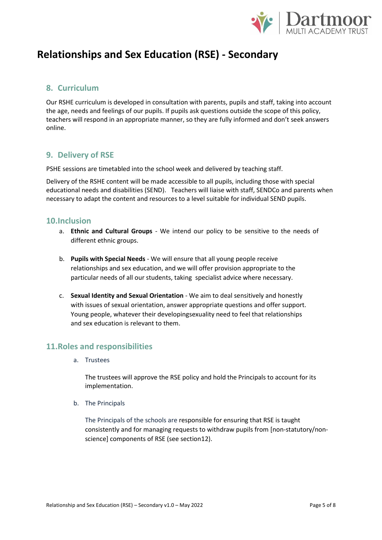

### **8. Curriculum**

Our RSHE curriculum is developed in consultation with parents, pupils and staff, taking into account the age, needs and feelings of our pupils. If pupils ask questions outside the scope of this policy, teachers will respond in an appropriate manner, so they are fully informed and don't seek answers online.

### **9. Delivery of RSE**

PSHE sessions are timetabled into the school week and delivered by teaching staff.

Delivery of the RSHE content will be made accessible to all pupils, including those with special educational needs and disabilities (SEND). Teachers will liaise with staff, SENDCo and parents when necessary to adapt the content and resources to a level suitable for individual SEND pupils.

#### **10.Inclusion**

- a. **Ethnic and Cultural Groups** We intend our policy to be sensitive to the needs of different ethnic groups.
- b. **Pupils with Special Needs**  We will ensure that all young people receive relationships and sex education, and we will offer provision appropriate to the particular needs of all our students, taking specialist advice where necessary.
- c. **Sexual Identity and Sexual Orientation** *-* We aim to deal sensitively and honestly with issues of sexual orientation, answer appropriate questions and offer support. Young people, whatever their developingsexuality need to feel that relationships and sex education is relevant to them.

### **11.Roles and responsibilities**

a. Trustees

The trustees will approve the RSE policy and hold the Principals to account for its implementation.

b. The Principals

The Principals of the schools are responsible for ensuring that RSE is taught consistently and for managing requests to withdraw pupils from [non-statutory/nonscience] components of RSE (see section12).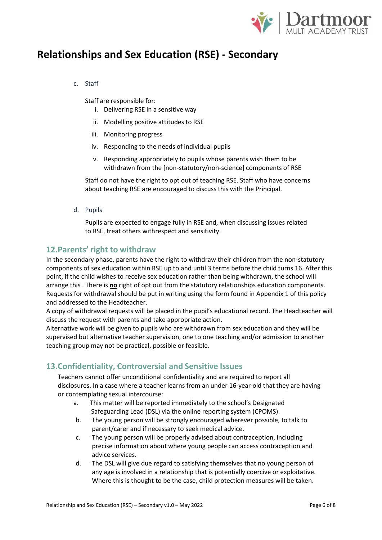

c. Staff

Staff are responsible for:

- i. Delivering RSE in a sensitive way
- ii. Modelling positive attitudes to RSE
- iii. Monitoring progress
- iv. Responding to the needs of individual pupils
- v. Responding appropriately to pupils whose parents wish them to be withdrawn from the [non-statutory/non-science] components of RSE

Staff do not have the right to opt out of teaching RSE. Staff who have concerns about teaching RSE are encouraged to discuss this with the Principal.

d. Pupils

Pupils are expected to engage fully in RSE and, when discussing issues related to RSE, treat others withrespect and sensitivity.

#### **12.Parents' right to withdraw**

In the secondary phase, parents have the right to withdraw their children from the non-statutory components of sex education within RSE up to and until 3 terms before the child turns 16. After this point, if the child wishes to receive sex education rather than being withdrawn, the school will arrange this . There is **no** right of opt out from the statutory relationships education components. Requests for withdrawal should be put in writing using the form found in Appendix 1 of this policy and addressed to the Headteacher.

A copy of withdrawal requests will be placed in the pupil's educational record. The Headteacher will discuss the request with parents and take appropriate action.

Alternative work will be given to pupils who are withdrawn from sex education and they will be supervised but alternative teacher supervision, one to one teaching and/or admission to another teaching group may not be practical, possible or feasible.

### **13.Confidentiality, Controversial and Sensitive Issues**

Teachers cannot offer unconditional confidentiality and are required to report all disclosures. In a case where a teacher learns from an under 16-year-old that they are having or contemplating sexual intercourse:

- a. This matter will be reported immediately to the school's Designated Safeguarding Lead (DSL) via the online reporting system (CPOMS).
- b. The young person will be strongly encouraged wherever possible, to talk to parent/carer and if necessary to seek medical advice.
- c. The young person will be properly advised about contraception, including precise information about where young people can access contraception and advice services.
- d. The DSL will give due regard to satisfying themselves that no young person of any age is involved in a relationship that is potentially coercive or exploitative. Where this is thought to be the case, child protection measures will be taken.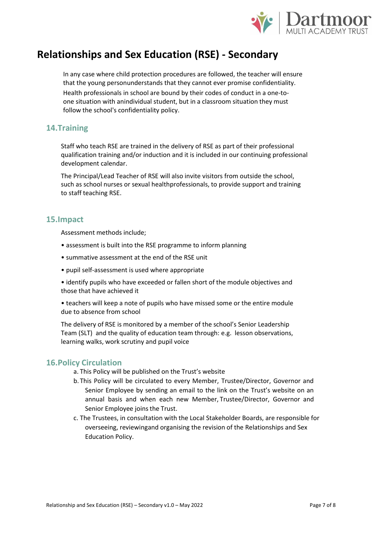

In any case where child protection procedures are followed, the teacher will ensure that the young personunderstands that they cannot ever promise confidentiality. Health professionals in school are bound by their codes of conduct in a one-toone situation with anindividual student, but in a classroom situation they must follow the school's confidentiality policy.

### **14.Training**

Staff who teach RSE are trained in the delivery of RSE as part of their professional qualification training and/or induction and it is included in our continuing professional development calendar.

The Principal/Lead Teacher of RSE will also invite visitors from outside the school, such as school nurses or sexual healthprofessionals, to provide support and training to staff teaching RSE.

#### **15.Impact**

Assessment methods include;

- assessment is built into the RSE programme to inform planning
- summative assessment at the end of the RSE unit
- pupil self-assessment is used where appropriate
- identify pupils who have exceeded or fallen short of the module objectives and those that have achieved it
- teachers will keep a note of pupils who have missed some or the entire module due to absence from school

The delivery of RSE is monitored by a member of the school's Senior Leadership Team (SLT) and the quality of education team through: e.g. lesson observations, learning walks, work scrutiny and pupil voice

#### **16.Policy Circulation**

- a. This Policy will be published on the Trust's website
- b. This Policy will be circulated to every Member, Trustee/Director, Governor and Senior Employee by sending an email to the link on the Trust's website on an annual basis and when each new Member, Trustee/Director, Governor and Senior Employee joins the Trust.
- c. The Trustees, in consultation with the Local Stakeholder Boards, are responsible for overseeing, reviewingand organising the revision of the Relationships and Sex Education Policy.